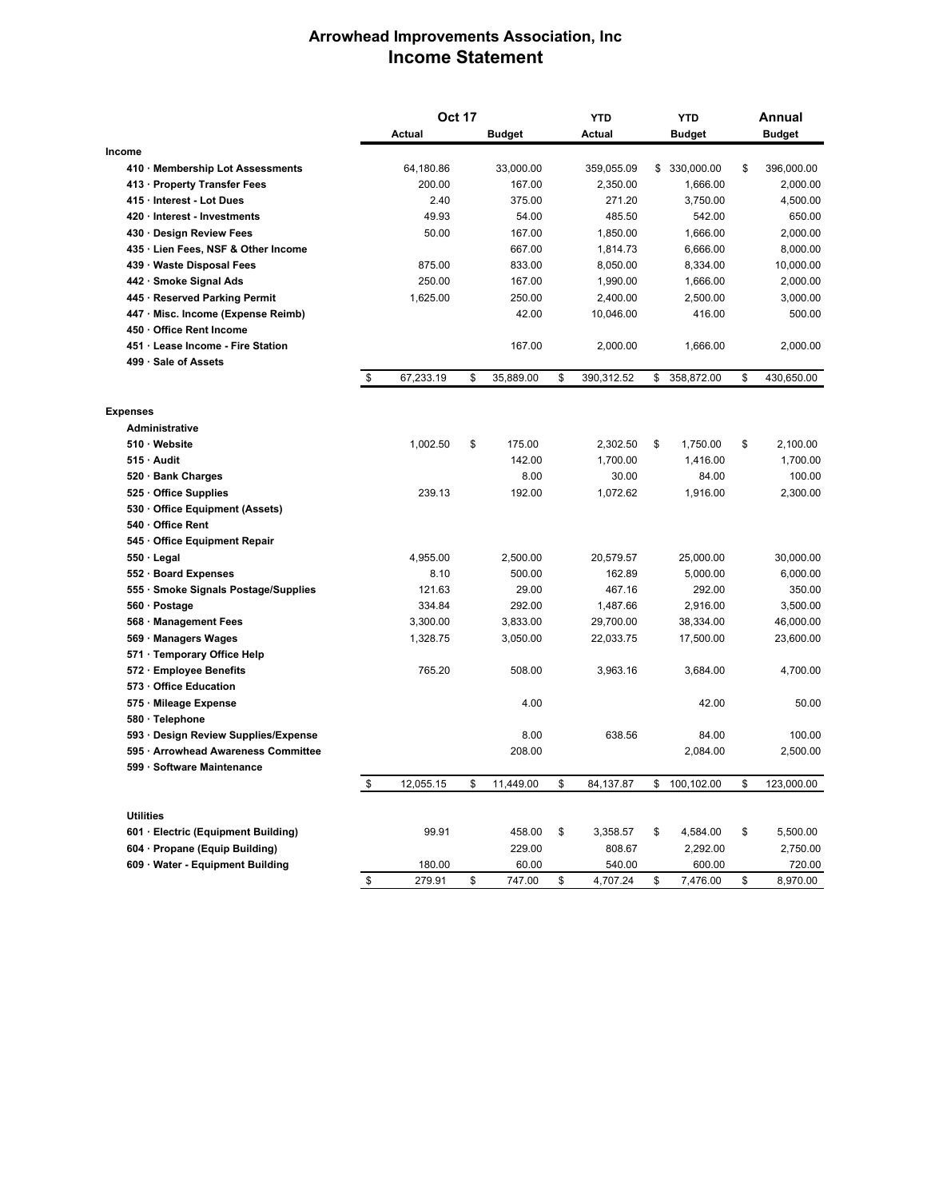## **Arrowhead Improvements Association, Inc Income Statement**

|                  |                                      | <b>Oct 17</b> |           |    | <b>YTD</b>    |    | <b>YTD</b>    |    | Annual        |    |               |
|------------------|--------------------------------------|---------------|-----------|----|---------------|----|---------------|----|---------------|----|---------------|
|                  |                                      | <b>Actual</b> |           |    | <b>Budget</b> |    | <b>Actual</b> |    | <b>Budget</b> |    | <b>Budget</b> |
| Income           |                                      |               |           |    |               |    |               |    |               |    |               |
|                  | 410 · Membership Lot Assessments     |               | 64,180.86 |    | 33,000.00     |    | 359,055.09    | \$ | 330,000.00    | \$ | 396,000.00    |
|                  | 413 · Property Transfer Fees         |               | 200.00    |    | 167.00        |    | 2,350.00      |    | 1,666.00      |    | 2,000.00      |
|                  | 415 · Interest - Lot Dues            |               | 2.40      |    | 375.00        |    | 271.20        |    | 3,750.00      |    | 4,500.00      |
|                  | 420 Interest - Investments           |               | 49.93     |    | 54.00         |    | 485.50        |    | 542.00        |    | 650.00        |
|                  | 430 Design Review Fees               |               | 50.00     |    | 167.00        |    | 1,850.00      |    | 1,666.00      |    | 2,000.00      |
|                  | 435 · Lien Fees, NSF & Other Income  |               |           |    | 667.00        |    | 1,814.73      |    | 6,666.00      |    | 8,000.00      |
|                  | 439 Waste Disposal Fees              |               | 875.00    |    | 833.00        |    | 8,050.00      |    | 8,334.00      |    | 10,000.00     |
|                  | 442 · Smoke Signal Ads               |               | 250.00    |    | 167.00        |    | 1,990.00      |    | 1,666.00      |    | 2,000.00      |
|                  | 445 · Reserved Parking Permit        |               | 1,625.00  |    | 250.00        |    | 2,400.00      |    | 2,500.00      |    | 3,000.00      |
|                  | 447 · Misc. Income (Expense Reimb)   |               |           |    | 42.00         |    | 10,046.00     |    | 416.00        |    | 500.00        |
|                  | 450 Office Rent Income               |               |           |    |               |    |               |    |               |    |               |
|                  | 451 Lease Income - Fire Station      |               |           |    | 167.00        |    | 2,000.00      |    | 1,666.00      |    | 2,000.00      |
|                  | 499 · Sale of Assets                 |               |           |    |               |    |               |    |               |    |               |
|                  |                                      | \$            | 67,233.19 | \$ | 35,889.00     | \$ | 390,312.52    | \$ | 358,872.00    | \$ | 430,650.00    |
| <b>Expenses</b>  |                                      |               |           |    |               |    |               |    |               |    |               |
|                  | <b>Administrative</b>                |               |           |    |               |    |               |    |               |    |               |
|                  | 510 Website                          |               | 1,002.50  | \$ | 175.00        |    | 2,302.50      | \$ | 1,750.00      | \$ | 2,100.00      |
|                  | 515 Audit                            |               |           |    | 142.00        |    | 1,700.00      |    | 1,416.00      |    | 1,700.00      |
|                  | 520 · Bank Charges                   |               |           |    | 8.00          |    | 30.00         |    | 84.00         |    | 100.00        |
|                  | 525 Office Supplies                  |               | 239.13    |    | 192.00        |    | 1,072.62      |    | 1,916.00      |    | 2,300.00      |
|                  | 530 Office Equipment (Assets)        |               |           |    |               |    |               |    |               |    |               |
|                  | 540 Office Rent                      |               |           |    |               |    |               |    |               |    |               |
|                  | 545 Office Equipment Repair          |               |           |    |               |    |               |    |               |    |               |
|                  | $550 \cdot$ Legal                    |               | 4,955.00  |    | 2,500.00      |    | 20,579.57     |    | 25,000.00     |    | 30,000.00     |
|                  | 552 · Board Expenses                 |               | 8.10      |    | 500.00        |    | 162.89        |    | 5,000.00      |    | 6,000.00      |
|                  | 555 · Smoke Signals Postage/Supplies |               | 121.63    |    | 29.00         |    | 467.16        |    | 292.00        |    | 350.00        |
|                  | 560 · Postage                        |               | 334.84    |    | 292.00        |    | 1,487.66      |    | 2,916.00      |    | 3,500.00      |
|                  | 568 Management Fees                  |               | 3,300.00  |    | 3,833.00      |    | 29,700.00     |    | 38,334.00     |    | 46,000.00     |
|                  | 569 · Managers Wages                 |               | 1,328.75  |    | 3,050.00      |    | 22,033.75     |    | 17,500.00     |    | 23,600.00     |
|                  | 571 · Temporary Office Help          |               |           |    |               |    |               |    |               |    |               |
|                  | 572 · Employee Benefits              |               | 765.20    |    | 508.00        |    | 3,963.16      |    | 3,684.00      |    | 4,700.00      |
|                  | 573 Office Education                 |               |           |    |               |    |               |    |               |    |               |
|                  | 575 Mileage Expense                  |               |           |    | 4.00          |    |               |    | 42.00         |    | 50.00         |
|                  | 580 · Telephone                      |               |           |    |               |    |               |    |               |    |               |
|                  | 593 Design Review Supplies/Expense   |               |           |    | 8.00          |    | 638.56        |    | 84.00         |    | 100.00        |
|                  | 595 Arrowhead Awareness Committee    |               |           |    | 208.00        |    |               |    | 2,084.00      |    | 2,500.00      |
|                  | 599 · Software Maintenance           |               |           |    |               |    |               |    |               |    |               |
|                  |                                      | \$            | 12,055.15 | \$ | 11,449.00     | \$ | 84,137.87     | \$ | 100,102.00    | \$ | 123,000.00    |
|                  |                                      |               |           |    |               |    |               |    |               |    |               |
| <b>Utilities</b> |                                      |               |           |    |               |    |               |    |               |    |               |
|                  | 601 · Electric (Equipment Building)  |               | 99.91     |    | 458.00        | \$ | 3,358.57      | \$ | 4,584.00      | \$ | 5,500.00      |
|                  | 604 · Propane (Equip Building)       |               |           |    | 229.00        |    | 808.67        |    | 2,292.00      |    | 2,750.00      |
|                  | 609 Water - Equipment Building       |               | 180.00    |    | 60.00         |    | 540.00        |    | 600.00        |    | 720.00        |
|                  |                                      | \$            | 279.91    | \$ | 747.00        | \$ | 4,707.24      | \$ | 7,476.00      | \$ | 8,970.00      |